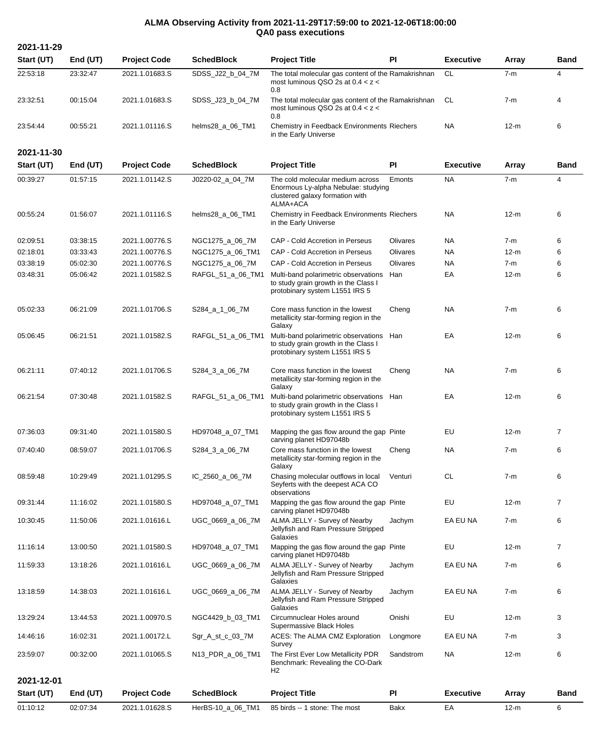## **ALMA Observing Activity from 2021-11-29T17:59:00 to 2021-12-06T18:00:00 QA0 pass executions**

| 2021-11-29 |          |                     |                   |                                                                                                                        |           |                  |        |                |
|------------|----------|---------------------|-------------------|------------------------------------------------------------------------------------------------------------------------|-----------|------------------|--------|----------------|
| Start (UT) | End (UT) | <b>Project Code</b> | <b>SchedBlock</b> | <b>Project Title</b>                                                                                                   | PI        | <b>Executive</b> | Array  | <b>Band</b>    |
| 22:53:18   | 23:32:47 | 2021.1.01683.S      | SDSS_J22_b_04_7M  | The total molecular gas content of the Ramakrishnan<br>most luminous QSO 2s at $0.4 < z <$<br>0.8                      |           | <b>CL</b>        | $7-m$  | $\overline{4}$ |
| 23:32:51   | 00:15:04 | 2021.1.01683.S      | SDSS_J23_b_04_7M  | The total molecular gas content of the Ramakrishnan<br>most luminous QSO 2s at $0.4 < z <$<br>0.8                      |           | CL               | $7-m$  | 4              |
| 23:54:44   | 00:55:21 | 2021.1.01116.S      | helms28_a_06_TM1  | Chemistry in Feedback Environments Riechers<br>in the Early Universe                                                   |           | <b>NA</b>        | 12-m   | 6              |
| 2021-11-30 |          |                     |                   |                                                                                                                        |           |                  |        |                |
| Start (UT) | End (UT) | <b>Project Code</b> | <b>SchedBlock</b> | <b>Project Title</b>                                                                                                   | PI        | <b>Executive</b> | Array  | <b>Band</b>    |
| 00:39:27   | 01:57:15 | 2021.1.01142.S      | J0220-02_a_04_7M  | The cold molecular medium across<br>Enormous Ly-alpha Nebulae: studying<br>clustered galaxy formation with<br>ALMA+ACA | Emonts    | <b>NA</b>        | $7-m$  | $\overline{4}$ |
| 00:55:24   | 01:56:07 | 2021.1.01116.S      | helms28_a_06_TM1  | Chemistry in Feedback Environments Riechers<br>in the Early Universe                                                   |           | NA.              | 12-m   | 6              |
| 02:09:51   | 03:38:15 | 2021.1.00776.S      | NGC1275_a_06_7M   | CAP - Cold Accretion in Perseus                                                                                        | Olivares  | NA.              | $7-m$  | 6              |
| 02:18:01   | 03:33:43 | 2021.1.00776.S      | NGC1275_a_06_TM1  | <b>CAP - Cold Accretion in Perseus</b>                                                                                 | Olivares  | NA.              | 12-m   | 6              |
| 03:38:19   | 05:02:30 | 2021.1.00776.S      | NGC1275_a_06_7M   | CAP - Cold Accretion in Perseus                                                                                        | Olivares  | <b>NA</b>        | $7-m$  | 6              |
| 03:48:31   | 05:06:42 | 2021.1.01582.S      | RAFGL_51_a_06_TM1 | Multi-band polarimetric observations<br>to study grain growth in the Class I<br>protobinary system L1551 IRS 5         | Han       | EA               | $12-m$ | 6              |
| 05:02:33   | 06:21:09 | 2021.1.01706.S      | S284_a_1_06_7M    | Core mass function in the lowest<br>metallicity star-forming region in the<br>Galaxy                                   | Cheng     | NA.              | $7-m$  | 6              |
| 05:06:45   | 06:21:51 | 2021.1.01582.S      | RAFGL_51_a_06_TM1 | Multi-band polarimetric observations<br>to study grain growth in the Class I<br>protobinary system L1551 IRS 5         | Han       | EA               | 12-m   | 6              |
| 06:21:11   | 07:40:12 | 2021.1.01706.S      | S284_3_a_06_7M    | Core mass function in the lowest<br>metallicity star-forming region in the<br>Galaxy                                   | Cheng     | NA               | $7-m$  | 6              |
| 06:21:54   | 07:30:48 | 2021.1.01582.S      | RAFGL_51_a_06_TM1 | Multi-band polarimetric observations Han<br>to study grain growth in the Class I<br>protobinary system L1551 IRS 5     |           | EA               | $12-m$ | 6              |
| 07:36:03   | 09:31:40 | 2021.1.01580.S      | HD97048_a_07_TM1  | Mapping the gas flow around the gap Pinte<br>carving planet HD97048b                                                   |           | EU               | $12-m$ |                |
| 07:40:40   | 08:59:07 | 2021.1.01706.S      | S284_3_a_06_7M    | Core mass function in the lowest<br>metallicity star-forming region in the<br>Galaxy                                   | Cheng     | NA.              | $7-m$  | 6              |
| 08:59:48   | 10:29:49 | 2021.1.01295.S      | IC_2560_a_06_7M   | Chasing molecular outflows in local<br>Seyferts with the deepest ACA CO<br>observations                                | Venturi   | <b>CL</b>        | $7-m$  | 6              |
| 09:31:44   | 11:16:02 | 2021.1.01580.S      | HD97048_a_07_TM1  | Mapping the gas flow around the gap Pinte<br>carving planet HD97048b                                                   |           | EU               | $12-m$ | $\overline{7}$ |
| 10:30:45   | 11:50:06 | 2021.1.01616.L      | UGC_0669_a_06_7M  | ALMA JELLY - Survey of Nearby<br>Jellyfish and Ram Pressure Stripped<br>Galaxies                                       | Jachym    | EA EU NA         | 7-m    | 6              |
| 11:16:14   | 13:00:50 | 2021.1.01580.S      | HD97048_a_07_TM1  | Mapping the gas flow around the gap Pinte<br>carving planet HD97048b                                                   |           | EU               | 12-m   | $\overline{7}$ |
| 11:59:33   | 13:18:26 | 2021.1.01616.L      | UGC_0669_a_06_7M  | ALMA JELLY - Survey of Nearby<br>Jellyfish and Ram Pressure Stripped<br>Galaxies                                       | Jachym    | EA EU NA         | 7-m    | 6              |
| 13:18:59   | 14:38:03 | 2021.1.01616.L      | UGC_0669_a_06_7M  | ALMA JELLY - Survey of Nearby<br>Jellyfish and Ram Pressure Stripped<br>Galaxies                                       | Jachym    | EA EU NA         | $7-m$  | 6              |
| 13:29:24   | 13:44:53 | 2021.1.00970.S      | NGC4429_b_03_TM1  | Circumnuclear Holes around<br>Supermassive Black Holes                                                                 | Onishi    | EU               | $12-m$ | 3              |
| 14:46:16   | 16:02:31 | 2021.1.00172.L      | Sgr_A_st_c_03_7M  | ACES: The ALMA CMZ Exploration<br>Survey                                                                               | Longmore  | EA EU NA         | 7-m    | 3              |
| 23:59:07   | 00:32:00 | 2021.1.01065.S      | N13_PDR_a_06_TM1  | The First Ever Low Metallicity PDR<br>Benchmark: Revealing the CO-Dark<br>H <sub>2</sub>                               | Sandstrom | NA.              | $12-m$ | 6              |
| 2021-12-01 |          |                     |                   |                                                                                                                        |           |                  |        |                |
| Start (UT) | End (UT) | <b>Project Code</b> | <b>SchedBlock</b> | <b>Project Title</b>                                                                                                   | PI        | <b>Executive</b> | Array  | Band           |
| 01:10:12   | 02:07:34 | 2021.1.01628.S      | HerBS-10_a_06_TM1 | 85 birds -- 1 stone: The most                                                                                          | Bakx      | EA               | $12-m$ | 6              |
|            |          |                     |                   |                                                                                                                        |           |                  |        |                |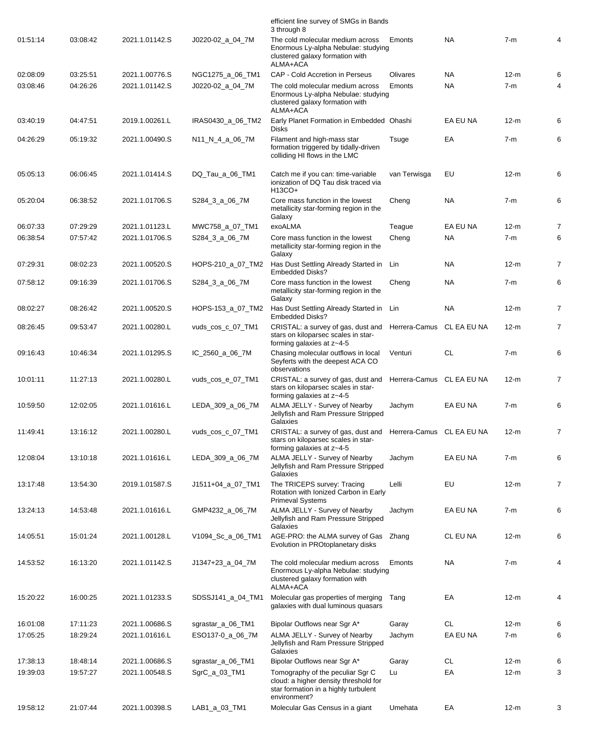|          |          |                |                   | efficient line survey of SMGs in Bands<br>3 through 8                                                                             |                           |             |        |                |
|----------|----------|----------------|-------------------|-----------------------------------------------------------------------------------------------------------------------------------|---------------------------|-------------|--------|----------------|
| 01:51:14 | 03:08:42 | 2021.1.01142.S | J0220-02_a_04_7M  | The cold molecular medium across<br>Enormous Ly-alpha Nebulae: studying<br>clustered galaxy formation with<br>ALMA+ACA            | Emonts                    | <b>NA</b>   | $7-m$  | 4              |
| 02:08:09 | 03:25:51 | 2021.1.00776.S | NGC1275_a_06_TM1  | <b>CAP - Cold Accretion in Perseus</b>                                                                                            | Olivares                  | <b>NA</b>   | $12-m$ | 6              |
| 03:08:46 | 04:26:26 | 2021.1.01142.S | J0220-02_a_04_7M  | The cold molecular medium across<br>Enormous Ly-alpha Nebulae: studying<br>clustered galaxy formation with<br>ALMA+ACA            | Emonts                    | <b>NA</b>   | $7-m$  | 4              |
| 03:40:19 | 04:47:51 | 2019.1.00261.L | IRAS0430 a 06 TM2 | Early Planet Formation in Embedded Ohashi<br><b>Disks</b>                                                                         |                           | EA EU NA    | $12-m$ | 6              |
| 04:26:29 | 05:19:32 | 2021.1.00490.S | N11_N_4_a_06_7M   | Filament and high-mass star<br>formation triggered by tidally-driven<br>colliding HI flows in the LMC                             | Tsuge                     | EA          | $7-m$  | 6              |
| 05:05:13 | 06:06:45 | 2021.1.01414.S | DQ_Tau_a_06_TM1   | Catch me if you can: time-variable<br>ionization of DQ Tau disk traced via<br>$H13CO+$                                            | van Terwisga              | EU          | $12-m$ | 6              |
| 05:20:04 | 06:38:52 | 2021.1.01706.S | S284_3_a_06_7M    | Core mass function in the lowest<br>metallicity star-forming region in the<br>Galaxy                                              | Cheng                     | <b>NA</b>   | $7-m$  | 6              |
| 06:07:33 | 07:29:29 | 2021.1.01123.L | MWC758_a_07_TM1   | exoALMA                                                                                                                           | Teague                    | EA EU NA    | $12-m$ | 7              |
| 06:38:54 | 07:57:42 | 2021.1.01706.S | S284_3_a_06_7M    | Core mass function in the lowest<br>metallicity star-forming region in the<br>Galaxy                                              | Cheng                     | <b>NA</b>   | $7-m$  | 6              |
| 07:29:31 | 08:02:23 | 2021.1.00520.S | HOPS-210 a 07 TM2 | Has Dust Settling Already Started in<br><b>Embedded Disks?</b>                                                                    | Lin                       | <b>NA</b>   | $12-m$ | 7              |
| 07:58:12 | 09:16:39 | 2021.1.01706.S | S284_3_a_06_7M    | Core mass function in the lowest<br>metallicity star-forming region in the<br>Galaxy                                              | Cheng                     | <b>NA</b>   | $7-m$  | 6              |
| 08:02:27 | 08:26:42 | 2021.1.00520.S | HOPS-153_a_07_TM2 | Has Dust Settling Already Started in Lin<br><b>Embedded Disks?</b>                                                                |                           | <b>NA</b>   | $12-m$ | $\overline{7}$ |
| 08:26:45 | 09:53:47 | 2021.1.00280.L | vuds_cos_c_07_TM1 | CRISTAL: a survey of gas, dust and<br>stars on kiloparsec scales in star-<br>forming galaxies at z~4-5                            | Herrera-Camus             | CL EA EU NA | $12-m$ | $\overline{7}$ |
| 09:16:43 | 10:46:34 | 2021.1.01295.S | IC_2560_a_06_7M   | Chasing molecular outflows in local<br>Seyferts with the deepest ACA CO<br>observations                                           | Venturi                   | <b>CL</b>   | $7-m$  | 6              |
| 10:01:11 | 11:27:13 | 2021.1.00280.L | vuds cos e 07 TM1 | CRISTAL: a survey of gas, dust and<br>stars on kiloparsec scales in star-<br>forming galaxies at z~4-5                            | Herrera-Camus CL EA EU NA |             | $12-m$ | 7              |
| 10:59:50 | 12:02:05 | 2021.1.01616.L | LEDA_309_a_06_7M  | ALMA JELLY - Survey of Nearby<br>Jellyfish and Ram Pressure Stripped<br>Galaxies                                                  | Jachym                    | EA EU NA    | $7-m$  | 6              |
| 11:49:41 | 13:16:12 | 2021.1.00280.L | vuds cos c 07 TM1 | CRISTAL: a survey of gas, dust and Herrera-Camus CL EA EU NA<br>stars on kiloparsec scales in star-<br>forming galaxies at z~4-5  |                           |             | $12-m$ | 7              |
| 12:08:04 | 13:10:18 | 2021.1.01616.L | LEDA_309_a_06_7M  | ALMA JELLY - Survey of Nearby<br>Jellyfish and Ram Pressure Stripped<br>Galaxies                                                  | Jachym                    | EA EU NA    | $7-m$  | 6              |
| 13:17:48 | 13:54:30 | 2019.1.01587.S | J1511+04 a 07 TM1 | The TRICEPS survey: Tracing<br>Rotation with Ionized Carbon in Early<br><b>Primeval Systems</b>                                   | Lelli                     | EU          | $12-m$ | $\overline{7}$ |
| 13:24:13 | 14:53:48 | 2021.1.01616.L | GMP4232_a_06_7M   | ALMA JELLY - Survey of Nearby<br>Jellyfish and Ram Pressure Stripped<br>Galaxies                                                  | Jachym                    | EA EU NA    | $7-m$  | 6              |
| 14:05:51 | 15:01:24 | 2021.1.00128.L | V1094_Sc_a_06_TM1 | AGE-PRO: the ALMA survey of Gas Zhang<br>Evolution in PROtoplanetary disks                                                        |                           | CL EU NA    | $12-m$ | 6              |
| 14:53:52 | 16:13:20 | 2021.1.01142.S | J1347+23_a_04_7M  | The cold molecular medium across<br>Enormous Ly-alpha Nebulae: studying<br>clustered galaxy formation with<br>ALMA+ACA            | Emonts                    | <b>NA</b>   | $7-m$  | 4              |
| 15:20:22 | 16:00:25 | 2021.1.01233.S | SDSSJ141_a_04_TM1 | Molecular gas properties of merging<br>galaxies with dual luminous quasars                                                        | Tang                      | EA          | $12-m$ | 4              |
| 16:01:08 | 17:11:23 | 2021.1.00686.S | sgrastar_a_06_TM1 | Bipolar Outflows near Sgr A*                                                                                                      | Garay                     | <b>CL</b>   | $12-m$ | 6              |
| 17:05:25 | 18:29:24 | 2021.1.01616.L | ESO137-0_a_06_7M  | ALMA JELLY - Survey of Nearby<br>Jellyfish and Ram Pressure Stripped<br>Galaxies                                                  | Jachym                    | EA EU NA    | $7-m$  | 6              |
| 17:38:13 | 18:48:14 | 2021.1.00686.S | sgrastar_a_06_TM1 | Bipolar Outflows near Sgr A*                                                                                                      | Garay                     | CL          | $12-m$ | 6              |
| 19:39:03 | 19:57:27 | 2021.1.00548.S | SgrC_a_03_TM1     | Tomography of the peculiar Sgr C<br>cloud: a higher density threshold for<br>star formation in a highly turbulent<br>environment? | Lu                        | EA          | $12-m$ | 3              |
| 19:58:12 | 21:07:44 | 2021.1.00398.S | LAB1_a_03_TM1     | Molecular Gas Census in a giant                                                                                                   | Umehata                   | EA          | $12-m$ | 3              |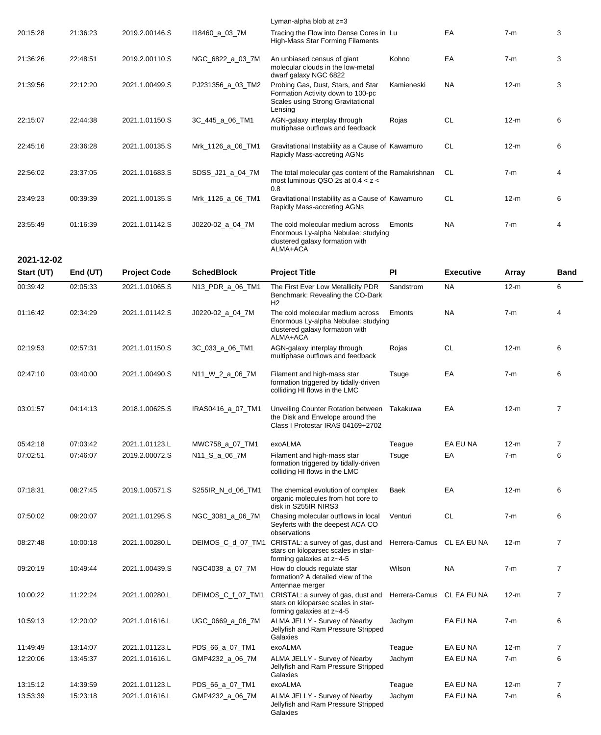| 2021-12-02 |          |                |                   |                                                                                                                         |            |           |        |   |
|------------|----------|----------------|-------------------|-------------------------------------------------------------------------------------------------------------------------|------------|-----------|--------|---|
| 23:55:49   | 01:16:39 | 2021.1.01142.S | J0220-02_a_04_7M  | The cold molecular medium across<br>Enormous Ly-alpha Nebulae: studying<br>clustered galaxy formation with<br>ALMA+ACA  | Emonts     | <b>NA</b> | $7-m$  | 4 |
| 23:49:23   | 00:39:39 | 2021.1.00135.S | Mrk_1126_a_06_TM1 | Gravitational Instability as a Cause of Kawamuro<br>Rapidly Mass-accreting AGNs                                         |            | <b>CL</b> | $12-m$ | 6 |
| 22:56:02   | 23:37:05 | 2021.1.01683.S | SDSS_J21_a_04_7M  | The total molecular gas content of the Ramakrishnan<br>most luminous QSO 2s at $0.4 < z <$<br>0.8                       |            | <b>CL</b> | $7-m$  | 4 |
| 22:45:16   | 23:36:28 | 2021.1.00135.S | Mrk_1126_a_06_TM1 | Gravitational Instability as a Cause of Kawamuro<br>Rapidly Mass-accreting AGNs                                         |            | <b>CL</b> | $12-m$ | 6 |
| 22:15:07   | 22:44:38 | 2021.1.01150.S | 3C_445_a_06_TM1   | AGN-galaxy interplay through<br>multiphase outflows and feedback                                                        | Rojas      | <b>CL</b> | $12-m$ | 6 |
| 21:39:56   | 22:12:20 | 2021.1.00499.S | PJ231356_a_03_TM2 | Probing Gas, Dust, Stars, and Star<br>Formation Activity down to 100-pc<br>Scales using Strong Gravitational<br>Lensing | Kamieneski | <b>NA</b> | $12-m$ | 3 |
| 21:36:26   | 22:48:51 | 2019.2.00110.S | NGC 6822 a 03 7M  | An unbiased census of giant<br>molecular clouds in the low-metal<br>dwarf galaxy NGC 6822                               | Kohno      | EA        | $7-m$  | 3 |
| 20:15:28   | 21:36:23 | 2019.2.00146.S | 118460_a_03_7M    | Tracing the Flow into Dense Cores in Lu<br>High-Mass Star Forming Filaments                                             |            | EA        | $7-m$  | 3 |
|            |          |                |                   | Lyman-alpha blob at $z=3$                                                                                               |            |           |        |   |

| Start (UT) | End (UT) | <b>Project Code</b> | <b>SchedBlock</b> | <b>Project Title</b>                                                                                                     | PI            | <b>Executive</b> | Array  | <b>Band</b>    |
|------------|----------|---------------------|-------------------|--------------------------------------------------------------------------------------------------------------------------|---------------|------------------|--------|----------------|
| 00:39:42   | 02:05:33 | 2021.1.01065.S      | N13_PDR_a_06_TM1  | The First Ever Low Metallicity PDR<br>Benchmark: Revealing the CO-Dark<br>H <sub>2</sub>                                 | Sandstrom     | <b>NA</b>        | $12-m$ | 6              |
| 01:16:42   | 02:34:29 | 2021.1.01142.S      | J0220-02_a_04_7M  | The cold molecular medium across<br>Enormous Ly-alpha Nebulae: studying<br>clustered galaxy formation with<br>ALMA+ACA   | Emonts        | <b>NA</b>        | $7-m$  | $\overline{4}$ |
| 02:19:53   | 02:57:31 | 2021.1.01150.S      | 3C_033_a_06_TM1   | AGN-galaxy interplay through<br>multiphase outflows and feedback                                                         | Rojas         | CL               | $12-m$ | 6              |
| 02:47:10   | 03:40:00 | 2021.1.00490.S      | N11_W_2_a_06_7M   | Filament and high-mass star<br>formation triggered by tidally-driven<br>colliding HI flows in the LMC                    | Tsuge         | EA               | $7-m$  | 6              |
| 03:01:57   | 04:14:13 | 2018.1.00625.S      | IRAS0416_a_07_TM1 | Unveiling Counter Rotation between Takakuwa<br>the Disk and Envelope around the<br>Class I Protostar IRAS 04169+2702     |               | EA               | $12-m$ | $\overline{7}$ |
| 05:42:18   | 07:03:42 | 2021.1.01123.L      | MWC758_a_07_TM1   | exoALMA                                                                                                                  | Teague        | EA EU NA         | $12-m$ | 7              |
| 07:02:51   | 07:46:07 | 2019.2.00072.S      | N11_S_a_06_7M     | Filament and high-mass star<br>formation triggered by tidally-driven<br>colliding HI flows in the LMC                    | Tsuge         | EA               | $7-m$  | 6              |
| 07:18:31   | 08:27:45 | 2019.1.00571.S      | S255IR_N_d_06_TM1 | The chemical evolution of complex<br>organic molecules from hot core to<br>disk in S255IR NIRS3                          | Baek          | EA               | $12-m$ | 6              |
| 07:50:02   | 09:20:07 | 2021.1.01295.S      | NGC_3081_a_06_7M  | Chasing molecular outflows in local<br>Seyferts with the deepest ACA CO<br>observations                                  | Venturi       | <b>CL</b>        | $7-m$  | 6              |
| 08:27:48   | 10:00:18 | 2021.1.00280.L      |                   | DEIMOS_C_d_07_TM1 CRISTAL: a survey of gas, dust and<br>stars on kiloparsec scales in star-<br>forming galaxies at z~4-5 | Herrera-Camus | CL EA EU NA      | $12-m$ | $\overline{7}$ |
| 09:20:19   | 10:49:44 | 2021.1.00439.S      | NGC4038_a_07_7M   | How do clouds regulate star<br>formation? A detailed view of the<br>Antennae merger                                      | Wilson        | <b>NA</b>        | $7-m$  | 7              |
| 10:00:22   | 11:22:24 | 2021.1.00280.L      | DEIMOS_C_f_07_TM1 | CRISTAL: a survey of gas, dust and<br>stars on kiloparsec scales in star-<br>forming galaxies at z~4-5                   | Herrera-Camus | CL EA EU NA      | $12-m$ | 7              |
| 10:59:13   | 12:20:02 | 2021.1.01616.L      | UGC_0669_a_06_7M  | ALMA JELLY - Survey of Nearby<br>Jellyfish and Ram Pressure Stripped<br>Galaxies                                         | Jachym        | EA EU NA         | $7-m$  | 6              |
| 11:49:49   | 13:14:07 | 2021.1.01123.L      | PDS_66_a_07_TM1   | exoALMA                                                                                                                  | Teague        | EA EU NA         | $12-m$ | 7              |
| 12:20:06   | 13:45:37 | 2021.1.01616.L      | GMP4232_a_06_7M   | ALMA JELLY - Survey of Nearby<br>Jellyfish and Ram Pressure Stripped<br>Galaxies                                         | Jachym        | EA EU NA         | $7-m$  | 6              |
| 13:15:12   | 14:39:59 | 2021.1.01123.L      | PDS_66_a_07_TM1   | exoALMA                                                                                                                  | Teague        | EA EU NA         | $12-m$ | 7              |
| 13:53:39   | 15:23:18 | 2021.1.01616.L      | GMP4232_a_06_7M   | ALMA JELLY - Survey of Nearby<br>Jellyfish and Ram Pressure Stripped<br>Galaxies                                         | Jachym        | EA EU NA         | $7-m$  | 6              |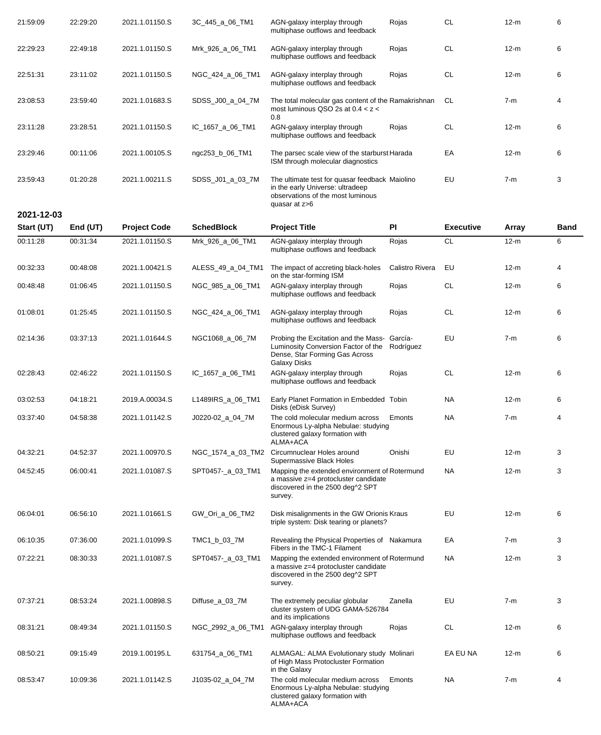| 21:59:09   | 22:29:20 | 2021.1.01150.S | 3C_445_a_06_TM1  | AGN-galaxy interplay through<br>multiphase outflows and feedback                                                                         | Rojas | <b>CL</b> | $12-m$ | 6 |
|------------|----------|----------------|------------------|------------------------------------------------------------------------------------------------------------------------------------------|-------|-----------|--------|---|
| 22:29:23   | 22:49:18 | 2021.1.01150.S | Mrk 926 a 06 TM1 | AGN-galaxy interplay through<br>multiphase outflows and feedback                                                                         | Rojas | <b>CL</b> | $12-m$ | 6 |
| 22:51:31   | 23:11:02 | 2021.1.01150.S | NGC_424_a_06_TM1 | AGN-galaxy interplay through<br>multiphase outflows and feedback                                                                         | Rojas | <b>CL</b> | $12-m$ | 6 |
| 23:08:53   | 23:59:40 | 2021.1.01683.S | SDSS_J00_a_04_7M | The total molecular gas content of the Ramakrishnan<br>most luminous QSO 2s at $0.4 < z <$<br>0.8                                        |       | <b>CL</b> | $7-m$  | 4 |
| 23:11:28   | 23:28:51 | 2021.1.01150.S | IC 1657 a 06 TM1 | AGN-galaxy interplay through<br>multiphase outflows and feedback                                                                         | Rojas | <b>CL</b> | $12-m$ | 6 |
| 23:29:46   | 00:11:06 | 2021.1.00105.S | ngc253_b_06_TM1  | The parsec scale view of the starburst Harada<br>ISM through molecular diagnostics                                                       |       | EA        | $12-m$ | 6 |
| 23:59:43   | 01:20:28 | 2021.1.00211.S | SDSS J01 a 03 7M | The ultimate test for quasar feedback Maiolino<br>in the early Universe: ultradeep<br>observations of the most luminous<br>quasar at z>6 |       | EU        | $7-m$  | 3 |
| 2021-12-03 |          |                |                  |                                                                                                                                          |       |           |        |   |

| Start (UT) | End (UT) | <b>Project Code</b> | <b>SchedBlock</b> | <b>Project Title</b>                                                                                                                  | <b>PI</b>       | <b>Executive</b> | <b>Array</b> | <b>Band</b> |
|------------|----------|---------------------|-------------------|---------------------------------------------------------------------------------------------------------------------------------------|-----------------|------------------|--------------|-------------|
| 00:11:28   | 00:31:34 | 2021.1.01150.S      | Mrk_926_a_06_TM1  | AGN-galaxy interplay through<br>multiphase outflows and feedback                                                                      | Rojas           | <b>CL</b>        | $12-m$       | 6           |
| 00:32:33   | 00:48:08 | 2021.1.00421.S      | ALESS_49_a_04_TM1 | The impact of accreting black-holes<br>on the star-forming ISM                                                                        | Calistro Rivera | EU               | $12-m$       | 4           |
| 00:48:48   | 01:06:45 | 2021.1.01150.S      | NGC_985_a_06_TM1  | AGN-galaxy interplay through<br>multiphase outflows and feedback                                                                      | Rojas           | CL               | 12-m         | 6           |
| 01:08:01   | 01:25:45 | 2021.1.01150.S      | NGC_424_a_06_TM1  | AGN-galaxy interplay through<br>multiphase outflows and feedback                                                                      | Rojas           | <b>CL</b>        | $12-m$       | 6           |
| 02:14:36   | 03:37:13 | 2021.1.01644.S      | NGC1068_a_06_7M   | Probing the Excitation and the Mass- García-<br>Luminosity Conversion Factor of the<br>Dense, Star Forming Gas Across<br>Galaxy Disks | Rodríguez       | EU               | $7-m$        | 6           |
| 02:28:43   | 02:46:22 | 2021.1.01150.S      | IC_1657_a_06_TM1  | AGN-galaxy interplay through<br>multiphase outflows and feedback                                                                      | Rojas           | <b>CL</b>        | $12-m$       | 6           |
| 03:02:53   | 04:18:21 | 2019.A.00034.S      | L1489IRS_a_06_TM1 | Early Planet Formation in Embedded Tobin<br>Disks (eDisk Survey)                                                                      |                 | <b>NA</b>        | $12-m$       | 6           |
| 03:37:40   | 04:58:38 | 2021.1.01142.S      | J0220-02_a_04_7M  | The cold molecular medium across<br>Enormous Ly-alpha Nebulae: studying<br>clustered galaxy formation with<br>ALMA+ACA                | Emonts          | NA.              | $7-m$        | 4           |
| 04:32:21   | 04:52:37 | 2021.1.00970.S      | NGC_1574_a_03_TM2 | Circumnuclear Holes around<br>Supermassive Black Holes                                                                                | Onishi          | EU               | $12-m$       | 3           |
| 04:52:45   | 06:00:41 | 2021.1.01087.S      | SPT0457-_a_03_TM1 | Mapping the extended environment of Rotermund<br>a massive z=4 protocluster candidate<br>discovered in the 2500 deg^2 SPT<br>survey.  |                 | NA               | $12-m$       | 3           |
| 06:04:01   | 06:56:10 | 2021.1.01661.S      | GW_Ori_a_06_TM2   | Disk misalignments in the GW Orionis Kraus<br>triple system: Disk tearing or planets?                                                 |                 | EU               | $12-m$       | 6           |
| 06:10:35   | 07:36:00 | 2021.1.01099.S      | TMC1_b_03_7M      | Revealing the Physical Properties of Nakamura<br>Fibers in the TMC-1 Filament                                                         |                 | EA               | $7-m$        | 3           |
| 07:22:21   | 08:30:33 | 2021.1.01087.S      | SPT0457-_a_03_TM1 | Mapping the extended environment of Rotermund<br>a massive z=4 protocluster candidate<br>discovered in the 2500 deg^2 SPT<br>survey.  |                 | NA.              | $12-m$       | 3           |
| 07:37:21   | 08:53:24 | 2021.1.00898.S      | Diffuse_a_03_7M   | The extremely peculiar globular<br>cluster system of UDG GAMA-526784<br>and its implications                                          | Zanella         | EU               | $7-m$        | 3           |
| 08:31:21   | 08:49:34 | 2021.1.01150.S      | NGC_2992_a_06_TM1 | AGN-galaxy interplay through<br>multiphase outflows and feedback                                                                      | Rojas           | <b>CL</b>        | $12-m$       | 6           |
| 08:50:21   | 09:15:49 | 2019.1.00195.L      | 631754_a_06_TM1   | ALMAGAL: ALMA Evolutionary study Molinari<br>of High Mass Protocluster Formation<br>in the Galaxy                                     |                 | EA EU NA         | $12-m$       | 6           |
| 08:53:47   | 10:09:36 | 2021.1.01142.S      | J1035-02 a 04 7M  | The cold molecular medium across<br>Enormous Ly-alpha Nebulae: studying<br>clustered galaxy formation with<br>ALMA+ACA                | Emonts          | NA.              | $7-m$        | 4           |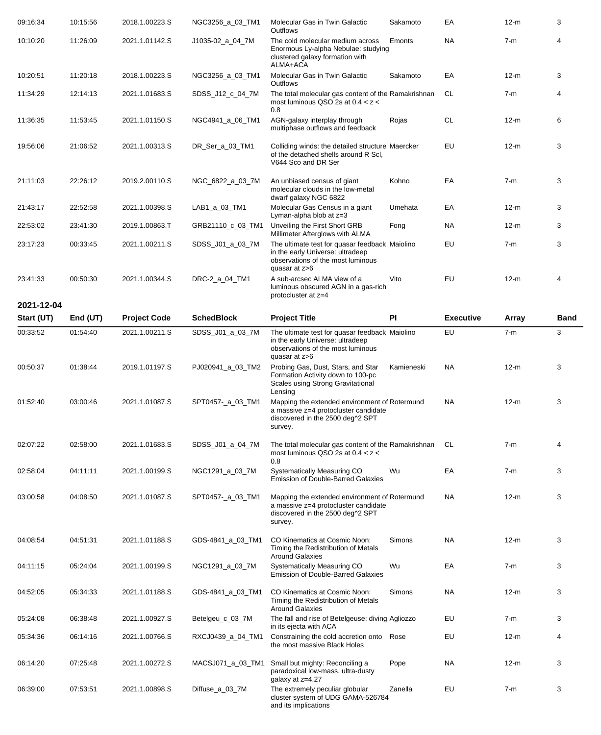| 09:16:34                 | 10:15:56             | 2018.1.00223.S                        | NGC3256_a_03_TM1  | Molecular Gas in Twin Galactic<br>Outflows                                                                                               | Sakamoto      | EA               | $12-m$         | 3                |
|--------------------------|----------------------|---------------------------------------|-------------------|------------------------------------------------------------------------------------------------------------------------------------------|---------------|------------------|----------------|------------------|
| 10:10:20                 | 11:26:09             | 2021.1.01142.S                        | J1035-02_a_04_7M  | The cold molecular medium across<br>Enormous Ly-alpha Nebulae: studying<br>clustered galaxy formation with<br>ALMA+ACA                   | Emonts        | NA.              | $7-m$          | 4                |
| 10:20:51                 | 11:20:18             | 2018.1.00223.S                        | NGC3256_a_03_TM1  | Molecular Gas in Twin Galactic<br><b>Outflows</b>                                                                                        | Sakamoto      | EA               | $12-m$         | 3                |
| 11:34:29                 | 12:14:13             | 2021.1.01683.S                        | SDSS_J12_c_04_7M  | The total molecular gas content of the Ramakrishnan<br>most luminous QSO 2s at $0.4 < z <$<br>0.8                                        |               | CL.              | $7-m$          | 4                |
| 11:36:35                 | 11:53:45             | 2021.1.01150.S                        | NGC4941_a_06_TM1  | AGN-galaxy interplay through<br>multiphase outflows and feedback                                                                         | Rojas         | <b>CL</b>        | $12-m$         | 6                |
| 19:56:06                 | 21:06:52             | 2021.1.00313.S                        | DR_Ser_a_03_TM1   | Colliding winds: the detailed structure Maercker<br>of the detached shells around R Scl,<br>V644 Sco and DR Ser                          |               | EU               | $12-m$         | 3                |
| 21:11:03                 | 22:26:12             | 2019.2.00110.S                        | NGC_6822_a_03_7M  | An unbiased census of giant<br>molecular clouds in the low-metal<br>dwarf galaxy NGC 6822                                                | Kohno         | EA               | $7-m$          | 3                |
| 21:43:17                 | 22:52:58             | 2021.1.00398.S                        | LAB1_a_03_TM1     | Molecular Gas Census in a giant<br>Lyman-alpha blob at z=3                                                                               | Umehata       | EA               | $12-m$         | 3                |
| 22:53:02                 | 23:41:30             | 2019.1.00863.T                        | GRB21110_c_03_TM1 | Unveiling the First Short GRB<br>Millimeter Afterglows with ALMA                                                                         | Fong          | <b>NA</b>        | $12-m$         | 3                |
| 23:17:23                 | 00:33:45             | 2021.1.00211.S                        | SDSS_J01_a_03_7M  | The ultimate test for quasar feedback Maiolino<br>in the early Universe: ultradeep<br>observations of the most luminous<br>quasar at z>6 |               | EU               | $7-m$          | 3                |
| 23:41:33                 | 00:50:30             | 2021.1.00344.S                        | DRC-2_a_04_TM1    | A sub-arcsec ALMA view of a<br>luminous obscured AGN in a gas-rich<br>protocluster at z=4                                                | Vito          | EU               | $12-m$         | 4                |
| 2021-12-04<br>Start (UT) |                      |                                       | <b>SchedBlock</b> |                                                                                                                                          | PI            | <b>Executive</b> |                |                  |
| 00:33:52                 | End (UT)<br>01:54:40 | <b>Project Code</b><br>2021.1.00211.S | SDSS_J01_a_03_7M  | <b>Project Title</b><br>The ultimate test for quasar feedback Maiolino                                                                   |               | EU               | Array<br>$7-m$ | <b>Band</b><br>3 |
|                          |                      |                                       |                   | in the early Universe: ultradeep<br>observations of the most luminous<br>quasar at z>6                                                   |               |                  |                |                  |
| 00:50:37                 | 01:38:44             | 2019.1.01197.S                        | PJ020941_a_03_TM2 | Probing Gas, Dust, Stars, and Star<br>Formation Activity down to 100-pc<br>Scales using Strong Gravitational<br>Lensing                  | Kamieneski    | NA.              | $12-m$         | 3                |
| 01:52:40                 | 03:00:46             | 2021.1.01087.S                        | SPT0457-_a_03_TM1 | Mapping the extended environment of Rotermund<br>a massive z=4 protocluster candidate<br>discovered in the 2500 deg^2 SPT<br>survey.     |               | <b>NA</b>        | $12-m$         | 3                |
| 02:07:22                 | 02:58:00             | 2021.1.01683.S                        | SDSS_J01_a_04_7M  | The total molecular gas content of the Ramakrishnan<br>most luminous QSO 2s at $0.4 < z <$<br>0.8                                        |               | CL               | $7-m$          | 4                |
| 02:58:04                 | 04:11:11             | 2021.1.00199.S                        | NGC1291_a_03_7M   | Systematically Measuring CO<br><b>Emission of Double-Barred Galaxies</b>                                                                 | Wu            | EA               | $7-m$          | 3                |
| 03:00:58                 | 04:08:50             | 2021.1.01087.S                        | SPT0457-_a_03_TM1 | Mapping the extended environment of Rotermund<br>a massive z=4 protocluster candidate<br>discovered in the 2500 deg^2 SPT<br>survey.     |               | NA.              | $12-m$         | 3                |
| 04:08:54                 | 04:51:31             | 2021.1.01188.S                        | GDS-4841_a_03_TM1 | CO Kinematics at Cosmic Noon:<br>Timing the Redistribution of Metals<br><b>Around Galaxies</b>                                           | <b>Simons</b> | NA.              | $12-m$         | 3                |
| 04:11:15                 | 05:24:04             | 2021.1.00199.S                        | NGC1291_a_03_7M   | Systematically Measuring CO<br><b>Emission of Double-Barred Galaxies</b>                                                                 | Wu            | EA               | $7-m$          | 3                |
| 04:52:05                 | 05:34:33             | 2021.1.01188.S                        | GDS-4841_a_03_TM1 | CO Kinematics at Cosmic Noon:<br>Timing the Redistribution of Metals<br><b>Around Galaxies</b>                                           | Simons        | NA.              | $12-m$         | 3                |
| 05:24:08                 | 06:38:48             | 2021.1.00927.S                        | Betelgeu_c_03_7M  | The fall and rise of Betelgeuse: diving Agliozzo<br>in its ejecta with ACA                                                               |               | EU               | $7-m$          | 3                |
| 05:34:36                 | 06:14:16             | 2021.1.00766.S                        | RXCJ0439_a_04_TM1 | Constraining the cold accretion onto<br>the most massive Black Holes                                                                     | Rose          | EU               | $12-m$         | 4                |
| 06:14:20                 | 07:25:48             | 2021.1.00272.S                        | MACSJ071_a_03_TM1 | Small but mighty: Reconciling a<br>paradoxical low-mass, ultra-dusty<br>galaxy at z=4.27                                                 | Pope          | NA.              | $12-m$         | 3                |
| 06:39:00                 | 07:53:51             | 2021.1.00898.S                        | Diffuse_a_03_7M   | The extremely peculiar globular<br>cluster system of UDG GAMA-526784<br>and its implications                                             | Zanella       | EU               | $7-m$          | 3                |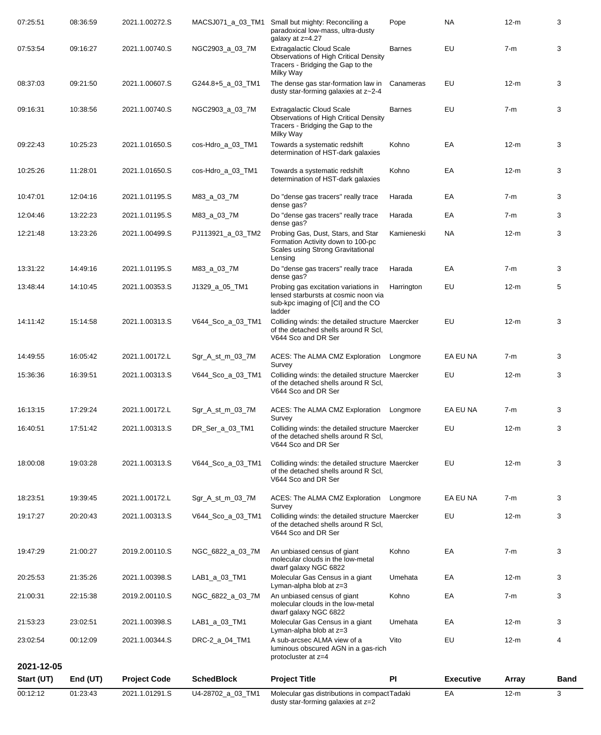| 00:12:12             | 01:23:43             | 2021.1.01291.S                   | U4-28702_a_03_TM1                 | Molecular gas distributions in compactTadaki<br>dusty star-forming galaxies at z=2                                                 |                  | EA               | $12-m$          | 3           |
|----------------------|----------------------|----------------------------------|-----------------------------------|------------------------------------------------------------------------------------------------------------------------------------|------------------|------------------|-----------------|-------------|
| Start (UT)           | End (UT)             | <b>Project Code</b>              | <b>SchedBlock</b>                 | <b>Project Title</b>                                                                                                               | PI               | <b>Executive</b> | Array           | <b>Band</b> |
| 2021-12-05           |                      |                                  |                                   | protocluster at z=4                                                                                                                |                  |                  |                 |             |
| 23:02:54             | 00:12:09             | 2021.1.00344.S                   | DRC-2_a_04_TM1                    | Lyman-alpha blob at z=3<br>A sub-arcsec ALMA view of a<br>luminous obscured AGN in a gas-rich                                      | Vito             | EU               | $12-m$          | 4           |
| 21:00:31<br>21:53:23 | 22:15:38<br>23:02:51 | 2019.2.00110.S<br>2021.1.00398.S | NGC_6822_a_03_7M<br>LAB1_a_03_TM1 | An unbiased census of giant<br>molecular clouds in the low-metal<br>dwarf galaxy NGC 6822<br>Molecular Gas Census in a giant       | Kohno<br>Umehata | EA<br>EA         | $7-m$<br>$12-m$ | 3<br>3      |
| 20:25:53             | 21:35:26             | 2021.1.00398.S                   | LAB1_a_03_TM1                     | Molecular Gas Census in a giant<br>Lyman-alpha blob at z=3                                                                         | Umehata          | EA               | $12-m$          | 3           |
| 19:47:29             | 21:00:27             | 2019.2.00110.S                   | NGC_6822_a_03_7M                  | An unbiased census of giant<br>molecular clouds in the low-metal<br>dwarf galaxy NGC 6822                                          | Kohno            | EA               | $7-m$           | 3           |
| 19:17:27             | 20:20:43             | 2021.1.00313.S                   | V644_Sco_a_03_TM1                 | Colliding winds: the detailed structure Maercker<br>of the detached shells around R Scl.<br>V644 Sco and DR Ser                    |                  | EU               | $12-m$          | 3           |
| 18:23:51             | 19:39:45             | 2021.1.00172.L                   | Sgr_A_st_m_03_7M                  | ACES: The ALMA CMZ Exploration<br>Survey                                                                                           | Longmore         | EA EU NA         | $7-m$           | 3           |
| 18:00:08             | 19:03:28             | 2021.1.00313.S                   | V644_Sco_a_03_TM1                 | Colliding winds: the detailed structure Maercker<br>of the detached shells around R Scl,<br>V644 Sco and DR Ser                    |                  | EU               | $12-m$          | 3           |
| 16:40:51             | 17:51:42             | 2021.1.00313.S                   | DR_Ser_a_03_TM1                   | Colliding winds: the detailed structure Maercker<br>of the detached shells around R Scl,<br>V644 Sco and DR Ser                    |                  | EU               | $12-m$          | 3           |
| 16:13:15             | 17:29:24             | 2021.1.00172.L                   | Sgr_A_st_m_03_7M                  | ACES: The ALMA CMZ Exploration    Longmore<br>Survey                                                                               |                  | EA EU NA         | 7-m             | 3           |
| 15:36:36             | 16:39:51             | 2021.1.00313.S                   | V644_Sco_a_03_TM1                 | Colliding winds: the detailed structure Maercker<br>of the detached shells around R Scl.<br>V644 Sco and DR Ser                    |                  | EU               | $12-m$          | 3           |
| 14:49:55             | 16:05:42             | 2021.1.00172.L                   | Sgr_A_st_m_03_7M                  | ACES: The ALMA CMZ Exploration<br>Survey                                                                                           | Longmore         | EA EU NA         | $7-m$           | 3           |
| 14:11:42             | 15:14:58             | 2021.1.00313.S                   | V644_Sco_a_03_TM1                 | Colliding winds: the detailed structure Maercker<br>of the detached shells around R Scl,<br>V644 Sco and DR Ser                    |                  | EU               | $12-m$          | 3           |
| 13:48:44             | 14:10:45             | 2021.1.00353.S                   | J1329_a_05_TM1                    | Probing gas excitation variations in<br>lensed starbursts at cosmic noon via<br>sub-kpc imaging of [CI] and the CO<br>ladder       | Harrington       | EU               | $12-m$          | 5           |
| 13:31:22             | 14:49:16             | 2021.1.01195.S                   | M83_a_03_7M                       | Do "dense gas tracers" really trace<br>dense gas?                                                                                  | Harada           | EA               | $7-m$           | 3           |
| 12:21:48             | 13:23:26             | 2021.1.00499.S                   | PJ113921_a_03_TM2                 | Probing Gas, Dust, Stars, and Star<br>Formation Activity down to 100-pc<br>Scales using Strong Gravitational<br>Lensing            | Kamieneski       | NA.              | $12-m$          | 3           |
| 12:04:46             | 13:22:23             | 2021.1.01195.S                   | M83_a_03_7M                       | Do "dense gas tracers" really trace<br>dense gas?                                                                                  | Harada           | EA               | $7-m$           | 3           |
| 10:47:01             | 12:04:16             | 2021.1.01195.S                   | M83_a_03_7M                       | Do "dense gas tracers" really trace<br>dense gas?                                                                                  | Harada           | EA               | $7-m$           | 3           |
| 10:25:26             | 11:28:01             | 2021.1.01650.S                   | cos-Hdro_a_03_TM1                 | Towards a systematic redshift<br>determination of HST-dark galaxies                                                                | Kohno            | EA               | $12-m$          | 3           |
| 09:22:43             | 10:25:23             | 2021.1.01650.S                   | cos-Hdro_a_03_TM1                 | Milky Way<br>Towards a systematic redshift<br>determination of HST-dark galaxies                                                   | Kohno            | EA               | $12-m$          | 3           |
| 09:16:31             | 10:38:56             | 2021.1.00740.S                   | NGC2903_a_03_7M                   | <b>Extragalactic Cloud Scale</b><br><b>Observations of High Critical Density</b><br>Tracers - Bridging the Gap to the              | <b>Barnes</b>    | EU               | $7-m$           | 3           |
| 08:37:03             | 09:21:50             | 2021.1.00607.S                   | G244.8+5_a_03_TM1                 | Milky Way<br>The dense gas star-formation law in<br>dusty star-forming galaxies at z~2-4                                           | Canameras        | EU               | $12-m$          | 3           |
| 07:53:54             | 09:16:27             | 2021.1.00740.S                   | NGC2903_a_03_7M                   | galaxy at z=4.27<br><b>Extragalactic Cloud Scale</b><br>Observations of High Critical Density<br>Tracers - Bridging the Gap to the | <b>Barnes</b>    | EU               | $7-m$           | 3           |
| 07:25:51             | 08:36:59             | 2021.1.00272.S                   | MACSJ071_a_03_TM1                 | Small but mighty: Reconciling a<br>paradoxical low-mass, ultra-dusty                                                               | Pope             | NA.              | $12-m$          | 3           |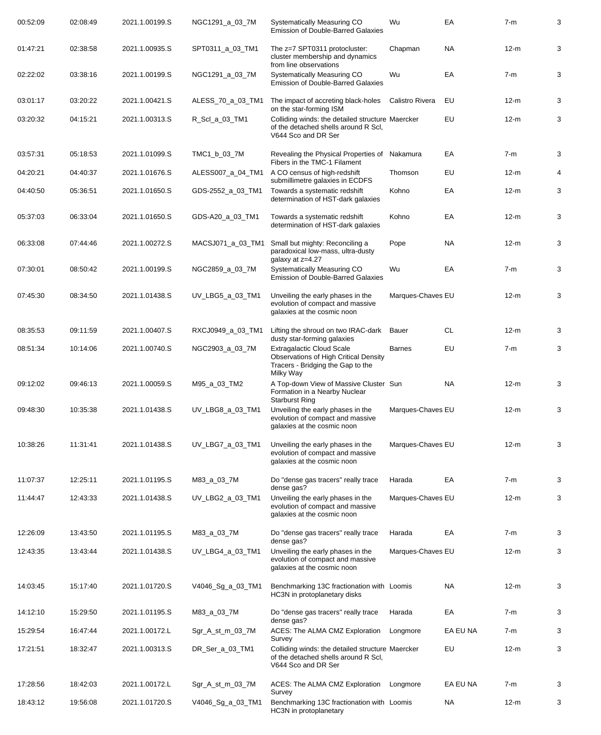| 00:52:09 | 02:08:49 | 2021.1.00199.S | NGC1291_a_03_7M   | Systematically Measuring CO<br><b>Emission of Double-Barred Galaxies</b>                                                           | Wu                | EA        | $7-m$  | 3 |
|----------|----------|----------------|-------------------|------------------------------------------------------------------------------------------------------------------------------------|-------------------|-----------|--------|---|
| 01:47:21 | 02:38:58 | 2021.1.00935.S | SPT0311_a_03_TM1  | The z=7 SPT0311 protocluster:<br>cluster membership and dynamics<br>from line observations                                         | Chapman           | NA.       | $12-m$ | 3 |
| 02:22:02 | 03:38:16 | 2021.1.00199.S | NGC1291_a_03_7M   | Systematically Measuring CO<br><b>Emission of Double-Barred Galaxies</b>                                                           | Wu                | EA        | $7-m$  | 3 |
| 03:01:17 | 03:20:22 | 2021.1.00421.S | ALESS_70_a_03_TM1 | The impact of accreting black-holes<br>on the star-forming ISM                                                                     | Calistro Rivera   | EU        | $12-m$ | 3 |
| 03:20:32 | 04:15:21 | 2021.1.00313.S | R_Scl_a_03_TM1    | Colliding winds: the detailed structure Maercker<br>of the detached shells around R Scl,<br>V644 Sco and DR Ser                    |                   | EU        | $12-m$ | 3 |
| 03:57:31 | 05:18:53 | 2021.1.01099.S | TMC1_b_03_7M      | Revealing the Physical Properties of<br>Fibers in the TMC-1 Filament                                                               | Nakamura          | EA        | $7-m$  | 3 |
| 04:20:21 | 04:40:37 | 2021.1.01676.S | ALESS007_a_04_TM1 | A CO census of high-redshift<br>submillimetre galaxies in ECDFS                                                                    | Thomson           | EU        | $12-m$ | 4 |
| 04:40:50 | 05:36:51 | 2021.1.01650.S | GDS-2552_a_03_TM1 | Towards a systematic redshift<br>determination of HST-dark galaxies                                                                | Kohno             | EA        | $12-m$ | 3 |
| 05:37:03 | 06:33:04 | 2021.1.01650.S | GDS-A20_a_03_TM1  | Towards a systematic redshift<br>determination of HST-dark galaxies                                                                | Kohno             | EA        | $12-m$ | 3 |
| 06:33:08 | 07:44:46 | 2021.1.00272.S | MACSJ071_a_03_TM1 | Small but mighty: Reconciling a<br>paradoxical low-mass, ultra-dusty<br>galaxy at z=4.27                                           | Pope              | NA.       | $12-m$ | 3 |
| 07:30:01 | 08:50:42 | 2021.1.00199.S | NGC2859_a_03_7M   | Systematically Measuring CO<br><b>Emission of Double-Barred Galaxies</b>                                                           | Wu                | EA        | $7-m$  | 3 |
| 07:45:30 | 08:34:50 | 2021.1.01438.S | UV_LBG5_a_03_TM1  | Unveiling the early phases in the<br>evolution of compact and massive<br>galaxies at the cosmic noon                               | Marques-Chaves EU |           | $12-m$ | 3 |
| 08:35:53 | 09:11:59 | 2021.1.00407.S | RXCJ0949_a_03_TM1 | Lifting the shroud on two IRAC-dark<br>dusty star-forming galaxies                                                                 | Bauer             | <b>CL</b> | $12-m$ | 3 |
| 08:51:34 | 10:14:06 | 2021.1.00740.S | NGC2903_a_03_7M   | <b>Extragalactic Cloud Scale</b><br><b>Observations of High Critical Density</b><br>Tracers - Bridging the Gap to the<br>Milky Way | <b>Barnes</b>     | EU        | $7-m$  | 3 |
| 09:12:02 | 09:46:13 | 2021.1.00059.S | M95_a_03_TM2      | A Top-down View of Massive Cluster Sun<br>Formation in a Nearby Nuclear<br><b>Starburst Ring</b>                                   |                   | <b>NA</b> | $12-m$ | 3 |
| 09:48:30 | 10:35:38 | 2021.1.01438.S | UV_LBG8_a_03_TM1  | Unveiling the early phases in the<br>evolution of compact and massive<br>galaxies at the cosmic noon                               | Marques-Chaves EU |           | $12-m$ | 3 |
| 10:38:26 | 11:31:41 | 2021.1.01438.S | UV_LBG7_a_03_TM1  | Unveiling the early phases in the<br>evolution of compact and massive<br>galaxies at the cosmic noon                               | Marques-Chaves EU |           | $12-m$ | 3 |
| 11:07:37 | 12:25:11 | 2021.1.01195.S | M83_a_03_7M       | Do "dense gas tracers" really trace<br>dense gas?                                                                                  | Harada            | EA        | $7-m$  | 3 |
| 11:44:47 | 12:43:33 | 2021.1.01438.S | UV_LBG2_a_03_TM1  | Unveiling the early phases in the<br>evolution of compact and massive<br>galaxies at the cosmic noon                               | Marques-Chaves EU |           | $12-m$ | 3 |
| 12:26:09 | 13:43:50 | 2021.1.01195.S | M83_a_03_7M       | Do "dense gas tracers" really trace<br>dense gas?                                                                                  | Harada            | EA        | $7-m$  | 3 |
| 12:43:35 | 13:43:44 | 2021.1.01438.S | UV_LBG4_a_03_TM1  | Unveiling the early phases in the<br>evolution of compact and massive<br>galaxies at the cosmic noon                               | Marques-Chaves EU |           | $12-m$ | 3 |
| 14:03:45 | 15:17:40 | 2021.1.01720.S | V4046_Sg_a_03_TM1 | Benchmarking 13C fractionation with Loomis<br>HC3N in protoplanetary disks                                                         |                   | <b>NA</b> | $12-m$ | 3 |
| 14:12:10 | 15:29:50 | 2021.1.01195.S | M83_a_03_7M       | Do "dense gas tracers" really trace<br>dense gas?                                                                                  | Harada            | EA        | $7-m$  | 3 |
| 15:29:54 | 16:47:44 | 2021.1.00172.L | Sgr_A_st_m_03_7M  | ACES: The ALMA CMZ Exploration<br>Survey                                                                                           | Longmore          | EA EU NA  | $7-m$  | 3 |
| 17:21:51 | 18:32:47 | 2021.1.00313.S | DR_Ser_a_03_TM1   | Colliding winds: the detailed structure Maercker<br>of the detached shells around R Scl,<br>V644 Sco and DR Ser                    |                   | EU        | $12-m$ | 3 |
| 17:28:56 | 18:42:03 | 2021.1.00172.L | Sgr_A_st_m_03_7M  | ACES: The ALMA CMZ Exploration<br>Survey                                                                                           | Longmore          | EA EU NA  | $7-m$  | 3 |
| 18:43:12 | 19:56:08 | 2021.1.01720.S | V4046_Sg_a_03_TM1 | Benchmarking 13C fractionation with Loomis<br>HC3N in protoplanetary                                                               |                   | <b>NA</b> | $12-m$ | 3 |